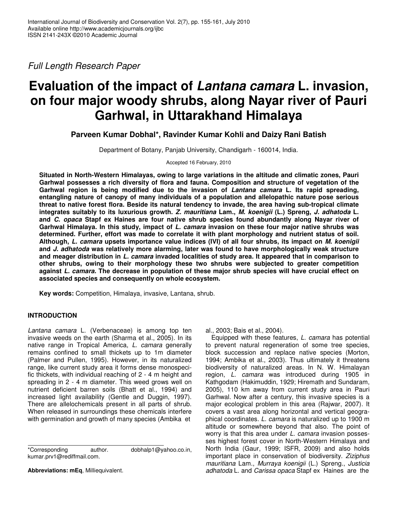*Full Length Research Paper*

# **Evaluation of the impact of** *Lantana camara* **L. invasion, on four major woody shrubs, along Nayar river of Pauri Garhwal, in Uttarakhand Himalaya**

**Parveen Kumar Dobhal\*, Ravinder Kumar Kohli and Daizy Rani Batish**

Department of Botany, Panjab University, Chandigarh - 160014*,* India.

Accepted 16 February, 2010

**Situated in North-Western Himalayas, owing to large variations in the altitude and climatic zones, Pauri Garhwal possesses a rich diversity of flora and fauna. Composition and structure of vegetation of the Garhwal region is being modified due to the invasion of** *Lantana camara* **L. Its rapid spreading, entangling nature of canopy of many individuals of a population and allelopathic nature pose serious threat to native forest flora. Beside its natural tendency to invade, the area having sub-tropical climate integrates suitably to its luxurious growth.** *Z. mauritiana* **Lam.,** *M. koenigii* **(L.) Spreng,** *J. adhatoda* **L. and** *C. opaca* **Stapf ex Haines are four native shrub species found abundantly along Nayar river of Garhwal Himalaya. In this study, impact of** *L. camara* **invasion on these four major native shrubs was determined. Further, effort was made to correlate it with plant morphology and nutrient status of soil. Although,** *L. camara* **upsets importance value indices (IVI) of all four shrubs, its impact on** *M. koenigii* **and** *J. adhatoda* **was relatively more alarming, later was found to have morphologically weak structure and meager distribution in** *L. camara* **invaded localities of study area. It appeared that in comparison to other shrubs, owing to their morphology these two shrubs were subjected to greater competition against** *L. camara.* **The decrease in population of these major shrub species will have crucial effect on associated species and consequently on whole ecosystem.**

**Key words:** Competition, Himalaya, invasive, Lantana, shrub.

# **INTRODUCTION**

*Lantana camara* L. (Verbenaceae) is among top ten invasive weeds on the earth (Sharma et al., 2005). In its native range in Tropical America, *L. camara* generally remains confined to small thickets up to 1m diameter (Palmer and Pullen, 1995). However, in its naturalized range, like current study area it forms dense monospecific thickets, with individual reaching of 2 - 4 m height and spreading in 2 - 4 m diameter. This weed grows well on nutrient deficient barren soils (Bhatt et al., 1994) and increased light availability (Gentle and Duggin, 1997). There are allelochemicals present in all parts of shrub. When released in surroundings these chemicals interfere with germination and growth of many species (Ambika et

\*Corresponding author. dobhalp1@yahoo.co.in, kumar.prv1@rediffmail.com.

**Abbreviations: mEq**, Milliequivalent.

al., 2003; Bais et al., 2004).

Equipped with these features, *L. camara* has potential to prevent natural regeneration of some tree species, block succession and replace native species (Morton, 1994; Ambika et al., 2003). Thus ultimately it threatens biodiversity of naturalized areas. In N. W. Himalayan region, *L. camara* was introduced during 1905 in Kathgodam (Hakimuddin, 1929; Hiremath and Sundaram, 2005), 110 km away from current study area in Pauri Garhwal. Now after a century, this invasive species is a major ecological problem in this area (Rajwar, 2007). It covers a vast area along horizontal and vertical geographical coordinates. *L. camara* is naturalized up to 1900 m altitude or somewhere beyond that also. The point of worry is that this area under *L. camara* invasion possesses highest forest cover in North-Western Himalaya and North India (Gaur, 1999; ISFR, 2009) and also holds important place in conservation of biodiversity. *Ziziphus mauritiana* Lam., *Murraya koenigii* (L.) Spreng., *Justicia adhatoda* L. and *Carissa opaca* Stapf ex Haines are the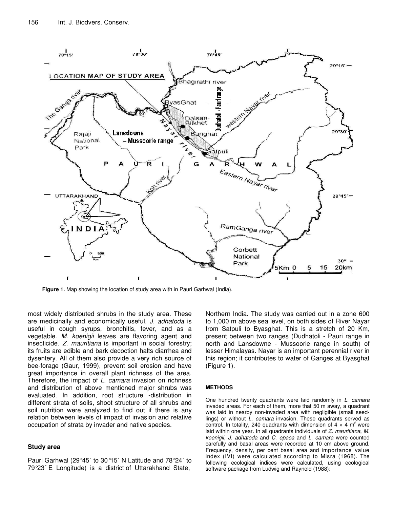

**Figure 1.** Map showing the location of study area with in Pauri Garhwal (India).

most widely distributed shrubs in the study area. These are medicinally and economically useful. *J. adhatoda* is useful in cough syrups, bronchitis, fever, and as a vegetable. *M. koenigii* leaves are flavoring agent and insecticide. *Z. mauritiana* is important in social forestry; its fruits are edible and bark decoction halts diarrhea and dysentery. All of them also provide a very rich source of bee-forage (Gaur, 1999), prevent soil erosion and have great importance in overall plant richness of the area. Therefore, the impact of *L. camara* invasion on richness and distribution of above mentioned major shrubs was evaluated. In addition, root structure -distribution in different strata of soils, shoot structure of all shrubs and soil nutrition were analyzed to find out if there is any relation between levels of impact of invasion and relative occupation of strata by invader and native species.

#### **Study area**

Pauri Garhwal (29°45´ to 30°15´ N Latitude and 78°24´ to 79°23´ E Longitude) is a district of Uttarakhand State,

Northern India. The study was carried out in a zone 600 to 1,000 m above sea level, on both sides of River Nayar from Satpuli to Byasghat. This is a stretch of 20 Km, present between two ranges (Dudhatoli - Pauri range in north and Lansdowne - Mussoorie range in south) of lesser Himalayas. Nayar is an important perennial river in this region; it contributes to water of Ganges at Byasghat (Figure 1).

#### **METHODS**

One hundred twenty quadrants were laid randomly in *L. camara* invaded areas. For each of them, more that 50 m away, a quadrant was laid in nearby non-invaded area with negligible (small seedlings) or without *L. camara* invasion. These quadrants served as control. In totality, 240 quadrants with dimension of 4  $\times$  4 m<sup>2</sup> were laid within one year. In all quadrants individuals of *Z. mauritiana*, *M. koenigii*, *J. adhatoda* and *C. opaca* and *L. camara* were counted carefully and basal areas were recorded at 10 cm above ground. Frequency, density, per cent basal area and importance value index (IVI) were calculated according to Misra (1968). The following ecological indices were calculated, using ecological software package from Ludwig and Raynold (1988):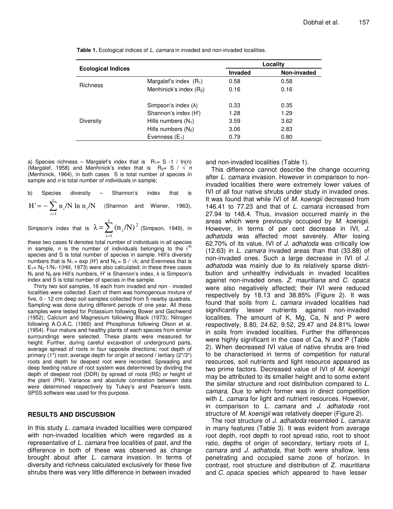|                           |                                     | Locality       |             |
|---------------------------|-------------------------------------|----------------|-------------|
| <b>Ecological Indices</b> |                                     | <b>Invaded</b> | Non-invaded |
| <b>Richness</b>           | Margalef's index $(R_1)$            | 0.58           | 0.58        |
|                           | Menhinick's index (R <sub>2</sub> ) | 0.16           | 0.16        |
| Diversity                 | Simpson's index $(\lambda)$         | 0.33           | 0.35        |
|                           | Shannon's index (H')                | 1.28           | 1.29        |
|                           | Hills numbers $(N_1)$               | 3.59           | 3.62        |
|                           | Hills numbers $(N_2)$               | 3.06           | 2.83        |
|                           | Evenness $(E_1)$                    | 0.79           | 0.80        |

**Table 1.** Ecological indices of *L. camara* in invaded and non-invaded localities.

a) Species richness – Margalef's index that is  $R_1 = S -1 / ln(n)$ (Margalef, 1958) and Menhinick's index that is  $R_{2} = S / \sqrt{n}$ (Menhinick, 1964), in both cases S is total number of species in sample and *n* is total number of individuals in sample;

b) Species diversity – Shannon's index that is  $\sum_{i=1}^{\infty}$  $=-\sum$ <sup>s</sup> 1  $H' = -\sum n_i/N \ln n_i/N$  $\sum_{i=1}^{\infty} \frac{n_i}{N} \ln \frac{n_i}{N}$  (Shannon and Wiener, 1963),

Simpson's index that is  $\lambda = \sum_{n=1}^{\infty}$ = = s  $i = 1$ 2  $\lambda \!=\! \sum \left(\mathrm{n_{_{i}}/N}\right)^{2}$  (Simpson, 1949), in

these two cases N denotes total number of individuals in all species in sample, *n* is the number of individuals belonging to the i<sup>-th</sup> species and S is total number of species in sample. Hill's diversity numbers that is  $N_1$  = exp (H') and  $N_2$  = S /  $\sqrt{\lambda}$ ; and Evenness that is  $E_1 = N_2 - 1/N_1 - 1$  (Hill, 1973) were also calculated; in these three cases  $N_1$  and  $N_2$  are Hill's numbers, H' is Shannon's index,  $\lambda$  is Simpson's index and S is total number of species in the sample.

Thirty two soil samples, 16 each from invaded and non - invaded localities were collected. Each of them was homogenous mixture of five, 0 - 12 cm deep soil samples collected from 5 nearby quadrats. Sampling was done during different periods of one year. All these samples were tested for Potassium following Bower and Gschwend (1952); Calcium and Magnesium following Black (1973); Nitrogen following A.O.A.C. (1960) and Phosphorus following Olson et al. (1954). Four mature and healthy plants of each species from similar surroundings were selected. These plants were measured for height. Further, during careful excavation of underground parts, average spread of roots in four opposite directions; root depth of primary (1\*) root; average depth for origin of second / tertiary (2\*/3\*) roots and depth for deepest root were recorded. Spreading and deep feeding nature of root system was determined by dividing the depth of deepest root (DDR) by spread of roots (RS) or height of the plant (PH). Variance and absolute correlation between data were determined respectively by Tukey's and Pearson's tests. SPSS software was used for this purpose.

#### **RESULTS AND DISCUSSION**

In this study *L. camara* invaded localities were compared with non-invaded localities which were regarded as a representative of *L. camara* free localities of past, and the difference in both of these was observed as change brought about after *L. camara* invasion. In terms of diversity and richness calculated exclusively for these five shrubs there was very little difference in between invaded

and non-invaded localities (Table 1).

This difference cannot describe the change occurring after *L. camara* invasion. However in comparison to noninvaded localities there were extremely lower values of IVI of all four native shrubs under study in invaded ones. It was found that while IVI of *M. koenigii* decreased from 146.41 to 77.23 and that of *L. camara* increased from 27.94 to 148.4. Thus, invasion occurred mainly in the areas which were previously occupied by *M. koenigii*. However, In terms of per cent decrease in IVI, *J. adhatoda* was affected most severely. After losing 62.70% of its value, IVI of *J. adhatoda* was critically low (12.63) in *L. camara* invaded areas than that (33.88) of non-invaded ones. Such a large decrease in IVI of *J. adhatoda* was mainly due to its relatively sparse distribution and unhealthy individuals in invaded localities against non-invaded ones. *Z. mauritiana* and *C. opaca* were also negatively affected; their IVI were reduced respectively by 18.13 and 38.85% (Figure 2). It was found that soils from *L. camara* invaded localities had significantly lesser nutrients against non-invaded localities. The amount of K, Mg, Ca, N and P were respectively, 8.80, 24.62, 9.52, 29.47 and 24.81% lower in soils from invaded localities. Further the differences were highly significant in the case of Ca, N and P (Table 2). When decreased IVI value of native shrubs are tried to be characterised in terms of competition for natural resources, soil nutrients and light resource appeared as two prime factors. Decreased value of IVI of *M. koenigii* may be attributed to its smaller height and to some extent the similar structure and root distribution compared to *L. camara*. Due to which former was in direct competition with *L. camara* for light and nutrient resources. However, in comparison to *L. camara* and *J. adhatoda* root structure of *M. koenigii* was relatively deeper (Figure 2).

The root structure of *J. adhatoda* resembled *L. camara* in many features (Table 3). It was evident from average root depth, root depth to root spread ratio, root to shoot ratio, depths of origin of secondary, tertiary roots of *L. camara* and *J. adhatoda*, that both were shallow, less penetrating and occupied same zone of horizon. In contrast, root structure and distribution of Z*. mauritiana* and *C. opaca* species which appeared to have lesser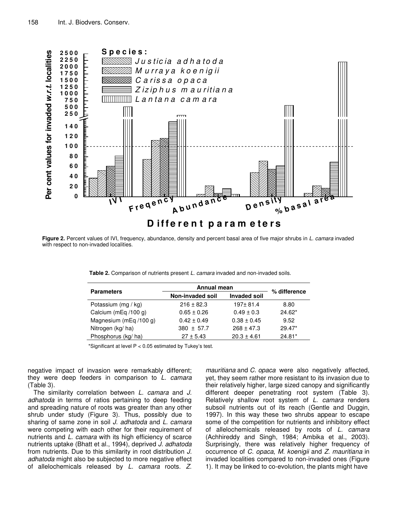

**Figure 2.** Percent values of IVI, frequency, abundance, density and percent basal area of five major shrubs in *L. camara* invaded with respect to non-invaded localities.

|                        | Annual mean                             | % difference    |          |
|------------------------|-----------------------------------------|-----------------|----------|
| <b>Parameters</b>      | <b>Invaded soil</b><br>Non-invaded soil |                 |          |
| Potassium (mg / kg)    | $216 \pm 82.3$                          | $197 + 81.4$    | 8.80     |
| Calcium (mEq /100 g)   | $0.65 \pm 0.26$                         | $0.49 \pm 0.3$  | 24.62*   |
| Magnesium (mEq /100 g) | $0.42 \pm 0.49$                         | $0.38 \pm 0.45$ | 9.52     |
| Nitrogen (kg/ha)       | $380 \pm 57.7$                          | $268 \pm 47.3$  | $29.47*$ |
| Phosphorus (kg/ ha)    | $27 \pm 5.43$                           | $20.3 \pm 4.61$ | $24.81*$ |

\*Significant at level P < 0.05 estimated by Tukey's test.

negative impact of invasion were remarkably different; they were deep feeders in comparison to *L. camara* (Table 3).

The similarity correlation between *L. camara* and *J. adhatoda* in terms of ratios pertaining to deep feeding and spreading nature of roots was greater than any other shrub under study (Figure 3). Thus, possibly due to sharing of same zone in soil *J. adhatoda* and *L. camara* were competing with each other for their requirement of nutrients and *L. camara* with its high efficiency of scarce nutrients uptake (Bhatt et al., 1994), deprived *J. adhatoda* from nutrients. Due to this similarity in root distribution *J. adhatoda* might also be subjected to more negative effect of allelochemicals released by *L. camara* roots. *Z.*

*mauritiana* and *C. opaca* were also negatively affected, yet, they seem rather more resistant to its invasion due to their relatively higher, large sized canopy and significantly different deeper penetrating root system (Table 3). Relatively shallow root system of *L. camara* renders subsoil nutrients out of its reach (Gentle and Duggin, 1997). In this way these two shrubs appear to escape some of the competition for nutrients and inhibitory effect of allelochemicals released by roots of *L. camara* (Achhireddy and Singh, 1984; Ambika et al., 2003). Surprisingly, there was relatively higher frequency of occurrence of *C. opaca*, *M. koenigii* and *Z. mauritiana* in invaded localities compared to non-invaded ones (Figure 1). It may be linked to co-evolution, the plants might have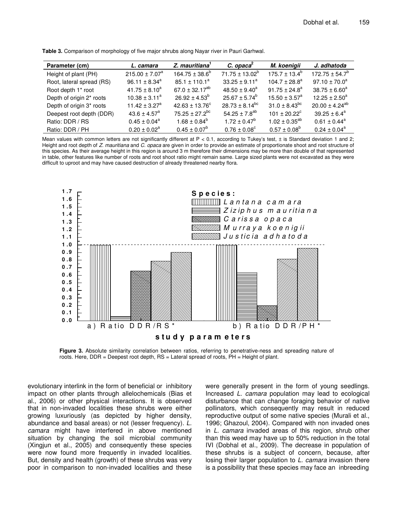| Parameter (cm)            | L. camara                    | Z. mauritiana <sup>1</sup>     | $C.$ opaca $^2$         | M. koenigii              | J. adhatoda             |
|---------------------------|------------------------------|--------------------------------|-------------------------|--------------------------|-------------------------|
| Height of plant (PH)      | $215.00 \pm 7.07^a$          | $164.75 \pm 38.6^b$            | $71.75 \pm 13.02^b$     | $175.7 + 13.4^b$         | $172.75 \pm 54.7^b$     |
| Root, lateral spread (RS) | $96.11 \pm 8.34^a$           | $85.1 \pm 110.1^a$             | $33.25 \pm 9.11^a$      | $104.7 \pm 28.8^a$       | $97.10 \pm 70.0^a$      |
| Root depth 1* root        | $41.75 \pm 8.10^a$           | 67.0 $\pm$ 32.17 <sup>ab</sup> | $48.50 \pm 9.40^a$      | $91.75 \pm 24.8^a$       | $38.75 \pm 6.60^a$      |
| Depth of origin 2* roots  | $10.38 \pm 3.11^a$           | $26.92 \pm 4.53^b$             | $25.67 \pm 5.74^b$      | $15.50 \pm 3.57^{\circ}$ | $12.25 \pm 2.50^a$      |
| Depth of origin 3* roots  | $11.42 \pm 3.27^a$           | $42.63 \pm 13.76^{\circ}$      | $28.73 \pm 8.14^{bc}$   | $31.0 \pm 8.43^{bc}$     | $20.00 \pm 4.24^{ab}$   |
| Deepest root depth (DDR)  | $43.6 \pm 4.57$ <sup>a</sup> | $75.25 \pm 27.2^{bc}$          | 54.25 ± $7.8^{ab}$      | $101 \pm 20.22^{\circ}$  | $39.25 \pm 6.4^a$       |
| Ratio: DDR / RS           | $0.45 \pm 0.04^a$            | $1.68 \pm 0.84^{\circ}$        | $1.72 \pm 0.47^b$       | $1.02 \pm 0.35^{ab}$     | $0.61 \pm 0.44^{\circ}$ |
| Ratio: DDR / PH           | $0.20 \pm 0.02^a$            | $0.45 \pm 0.07^b$              | $0.76 \pm 0.08^{\circ}$ | $0.57 \pm 0.08^b$        | $0.24 \pm 0.04^a$       |

**Table 3.** Comparison of morphology of five major shrubs along Nayar river in Pauri Garhwal.

Mean values with common letters are not significantly different at  $P < 0.1$ , according to Tukey's test,  $\pm$  is Standard deviation 1 and 2; Height and root depth of *Z. mauritiana* and *C. opaca* are given in order to provide an estimate of proportionate shoot and root structure of this species. As their average height in this region is around 3 m therefore their dimensions may be more than double of that represented in table, other features like number of roots and root shoot ratio might remain same. Large sized plants were not excavated as they were difficult to uproot and may have caused destruction of already threatened nearby flora.



**Figure 3.** Absolute similarity correlation between ratios, referring to penetrative-ness and spreading nature of roots. Here, DDR = Deepest root depth, RS = Lateral spread of roots, PH = Height of plant.

evolutionary interlink in the form of beneficial or inhibitory impact on other plants through allelochemicals (Bias et al., 2006) or other physical interactions. It is observed that in non-invaded localities these shrubs were either growing luxuriously (as depicted by higher density, abundance and basal areas) or not (lesser frequency). *L. camara* might have interfered in above mentioned situation by changing the soil microbial community (Xingjun et al., 2005) and consequently these species were now found more frequently in invaded localities. But, density and health (growth) of these shrubs was very poor in comparison to non-invaded localities and these

were generally present in the form of young seedlings. Increased *L. camara* population may lead to ecological disturbance that can change foraging behavior of native pollinators, which consequently may result in reduced reproductive output of some native species (Murali et al., 1996; Ghazoul, 2004). Compared with non invaded ones in *L. camara* invaded areas of this region, shrub other than this weed may have up to 50% reduction in the total IVI (Dobhal et al., 2009). The decrease in population of these shrubs is a subject of concern, because, after losing their larger population to *L. camara* invasion there is a possibility that these species may face an inbreeding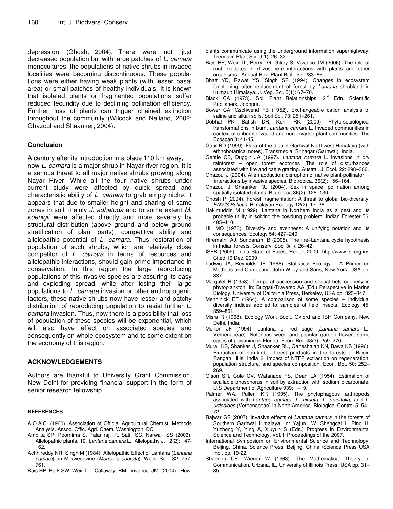depression (Ghosh, 2004). There were not just decreased population but with large patches of *L. camara* monocultures, the populations of native shrubs in invaded localities were becoming discontinuous. These populations were either having weak plants (with lesser basal area) or small patches of healthy individuals. It is known that isolated plants or fragmented populations suffer reduced fecundity due to declining pollination efficiency. Further, loss of plants can trigger chained extinction throughout the community (Wilcock and Neiland, 2002; Ghazoul and Shaanker, 2004).

## **Conclusion**

A century after its introduction in a place 110 km away,

now *L. camara* is a major shrub in Nayar river region. It is a serious threat to all major native shrubs growing along Nayar River. While all the four native shrubs under current study were affected by quick spread and characteristic ability of *L. camara* to grab empty niche. It appears that due to smaller height and sharing of same zones in soil, mainly *J. adhatoda* and to some extent *M. koenigii* were affected directly and more severely by structural distribution (above ground and below ground stratification of plant parts), competitive ability and allelopathic potential of *L. camara*. Thus restoration of population of such shrubs, which are relatively close competitor of *L. camara* in terms of resources and allelopathic interactions, should gain prime importance in conservation. In this region the large reproducing populations of this invasive species are assuring its easy and exploding spread, while after losing their large populations to *L. camara* invasion or other anthropogenic factors, these native shrubs now have lesser and patchy distribution of reproducing population to resist further *L. camara* invasion. Thus, now there is a possibility that loss of population of these species will be exponential, which will also have effect on associated species and consequently on whole ecosystem and to some extent on the economy of this region.

## **ACKNOWLEDGEMENTS**

Authors are thankful to University Grant Commission, New Delhi for providing financial support in the form of senior research fellowship.

#### **REFERENCES**

- A.O.A.C. (1960). Association of Official Agricultural Chemist. Methods Analysis. Assoc. Offic. Agri. Chem. Washington, DC.
- Ambika SR, Poornima S, Palaniraj R, Sati SC, Narwal SS (2003). Allelopathic plants. 10. *Lantana camara* L.. Allelopathy J. 12(2): 147- 162.
- Achhireddy NR, Singh M (1984). Allelopathic Effect of Lantana (*Lantana camara*) on Milkweedvine (*Morrenia odorata*). Weed Sci. 32: 757- 761.
- Bais HP, Park SW, Weir TL, Callaway RM, Vivanco JM (2004). How
- plants communicate using the underground information superhighway. Trends in Plant Sci. 9(1): 26–32.
- Bais HP, Weir TL, Perry LG, Gilroy S, Vivanco JM (2006). The role of root exudates in rhizosphere interactions with plants and other organisms. Annual Rev. Plant Biol. 57: 233–66.
- Bhatt YD, Rawat YS, Singh SP (1994). Changes in ecosystem functioning after replacement of forest by *Lantana* shrubland in Kumaun Himalaya. J. Veg. Sci. 5(1): 67–70.
- Black CA (1973). Soil Plant Relationships. 2<sup>nd</sup> Edn. Scientific Publishers, Jodhpur.
- Bower CA, Gschwend FB (1952). Exchangeable cation analysis of saline and alkali soils. Soil Sci. 73: 251–261.
- Dobhal PK, Batish DR, Kohli RK (2009). Phyto-sociological transformations in burnt *Lantana camara* L. Invaded communities in context of unburnt invaded and non-invaded plant communities. The Ecoscan 3: 41-45.
- Gaur RD (1999). Flora of the district Garhwal Northwest Himalaya (with ethnobotanical notes), Transmedia, Srinagar (Garhwal), India.
- Gentle CB, Duggin JA (1997). *Lantana camara* L. invasions in dry rainforest – open forest ecotones: The role of disturbances associated with fire and cattle grazing. Austral. J. Ecol. 22: 298–306.
- Ghazoul J (2004). Alien abduction: disruption of native plant-pollinator interactions by invasive species. Biotropica, 36(2): 156–164.
- Ghazoul J, Shaanker RU (2004). Sex in space: pollination among spatially isolated plants. Biotropica 36(2): 128–130.
- Ghosh P (2004). Forest fragmentation: A threat to global bio-diversity. *ENVIS Bulletin*: Himalayan Ecology 12(2): 17–26.
- Hakimuddin M (1929). Lantana in Northern India as a pest and its probable utility in solving the cowdung problem. Indian Forester 56: 405–410.
- Hill MO (1973). Diversity and evenness: A unifying notation and its consequences. Ecology 54: 427–249.
- Hiremath AJ, Sundaram B (2005). The fire-Lantana cycle hypothesis in Indian forests. Conserv. Soc. 3(1): 26–42.
- ISFR (2009). India State of Forest Report 2009, http://www.fsi.org.in/, Cited 10 Dec. 2009.
- Ludwig JA, Reynolds JF (1988). Statistical Ecology A Primer on Methods and Computing. John Wiley and Sons, New York, USA pp. 337.
- Margalef R (1958). Temporal succession and spatial heterogeneity in phytoplankton. In: Buzgati-Traverso AA (Ed.) Perspective in Marine Biology. University of California Press, Berkeley, USA pp. 323–347.
- Menhinick EF (1964). A comparison of some species individual diversity indices applied to samples of field insects. Ecology 45: 859–861.
- Misra R (1968). Ecology Work Book. Oxford and IBH Company, New Delhi, India.
- Morton JF (1994). Lantana or red sage (*Lantana camara* L., Verbenaceae). Notorious weed and popular garden flower; some cases of poisoning in Florida. Econ. Bot. 48(3): 259–270.
- Murali KS, Shankar U, Shaanker RU, Ganeshaiah KN, Bawa KS (1996). Extraction of non-timber forest products in the forests of Biligiri Rangan Hills, India 2. Impact of NTFP extraction on regeneration, population structure, and species composition*.* Econ. Bot. 50: 252– 269.
- Olson SR, Cole CV, Watanabe FS, Dean LA (1954). Estimation of available phosphorus in soil by extraction with sodium bicarbonate. U.S Department of Agriculture 939: 1–19.
- Palmer WA, Pullen KR (1995). The phytophagous arthropods associated with *Lantana camara*, *L*. *hirsuta*, *L*. *urticifolia*, and *L*. *urticoides* (Verbenaceae) in North America. Biological Control 5: 54– 72.
- Rajwar GS (2007). Invasive effects of *Lantana camara* in the forests of Southern Garhwal Himalaya. In: Yajun W, Shengcai L, Ping H, Yuzhong Y, Ying A, Xiuyun S (Eds.) Progress in Environmental Science and Technology, Vol. I: Proceedings of the 2007.
- International Symposium on Environmental Science and Technology, Beijing, China. Science Press, Beijing, China /Science Press USA Inc., pp. 19-22.
- Shannon CE, Wiener W (1963). The Mathematical Theory of Communication. Urbana, IL, University of Illinois Press, USA pp. 31– 35.